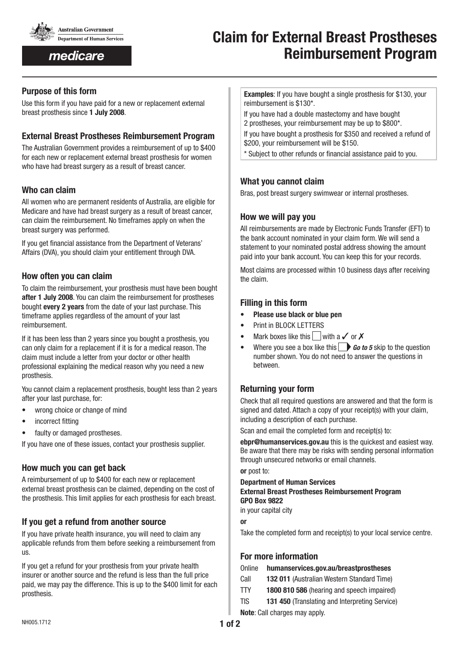

medicare

# **Claim for External Breast Prostheses Reimbursement Program**

## **Purpose of this form**

Use this form if you have paid for a new or replacement external breast prosthesis since **1 July 2008**.

# **External Breast Prostheses Reimbursement Program**

The Australian Government provides a reimbursement of up to \$400 for each new or replacement external breast prosthesis for women who have had breast surgery as a result of breast cancer.

# **Who can claim**

All women who are permanent residents of Australia, are eligible for Medicare and have had breast surgery as a result of breast cancer, can claim the reimbursement. No timeframes apply on when the breast surgery was performed.

If you get financial assistance from the Department of Veterans' Affairs (DVA), you should claim your entitlement through DVA.

# **How often you can claim**

To claim the reimbursement, your prosthesis must have been bought **after 1 July 2008**. You can claim the reimbursement for prostheses bought **every 2 years** from the date of your last purchase. This timeframe applies regardless of the amount of your last reimbursement.

If it has been less than 2 years since you bought a prosthesis, you can only claim for a replacement if it is for a medical reason. The claim must include a letter from your doctor or other health professional explaining the medical reason why you need a new prosthesis.

You cannot claim a replacement prosthesis, bought less than 2 years after your last purchase, for:

- wrong choice or change of mind
- incorrect fitting
- faulty or damaged prostheses.

If you have one of these issues, contact your prosthesis supplier.

## **How much you can get back**

A reimbursement of up to \$400 for each new or replacement external breast prosthesis can be claimed, depending on the cost of the prosthesis. This limit applies for each prosthesis for each breast.

# **If you get a refund from another source**

If you have private health insurance, you will need to claim any applicable refunds from them before seeking a reimbursement from us.

If you get a refund for your prosthesis from your private health insurer or another source and the refund is less than the full price paid, we may pay the difference. This is up to the \$400 limit for each prosthesis.

**Examples**: If you have bought a single prosthesis for \$130, your reimbursement is \$130\*.

If you have had a double mastectomy and have bought 2 prostheses, your reimbursement may be up to \$800\*.

If you have bought a prosthesis for \$350 and received a refund of \$200, your reimbursement will be \$150.

\* Subject to other refunds or financial assistance paid to you.

# **What you cannot claim**

Bras, post breast surgery swimwear or internal prostheses.

## **How we will pay you**

All reimbursements are made by Electronic Funds Transfer (EFT) to the bank account nominated in your claim form. We will send a statement to your nominated postal address showing the amount paid into your bank account. You can keep this for your records.

Most claims are processed within 10 business days after receiving the claim.

# **Filling in this form**

- **Please use black or blue pen**
- Print in BLOCK LETTERS
- Mark boxes like this with a  $\checkmark$  or  $\checkmark$
- Where you see a box like this **Go to 5** skip to the question number shown. You do not need to answer the questions in between.

# **Returning your form**

Check that all required questions are answered and that the form is signed and dated. Attach a copy of your receipt(s) with your claim, including a description of each purchase.

Scan and email the completed form and receipt(s) to:

**ebpr@humanservices.gov.au** this is the quickest and easiest way. Be aware that there may be risks with sending personal information through unsecured networks or email channels.

**or** post to:

**Department of Human Services External Breast Prostheses Reimbursement Program GPO Box 9822** in your capital city

**or**

Take the completed form and receipt(s) to your local service centre.

# **For more information**

## Online www.**humanservices.gov.au/breastprostheses**

- Call **132 011** (Australian Western Standard Time)
- TTY **1800 810 586** (hearing and speech impaired)
- TIS **131 450** (Translating and Interpreting Service)
- **Note**: Call charges may apply.